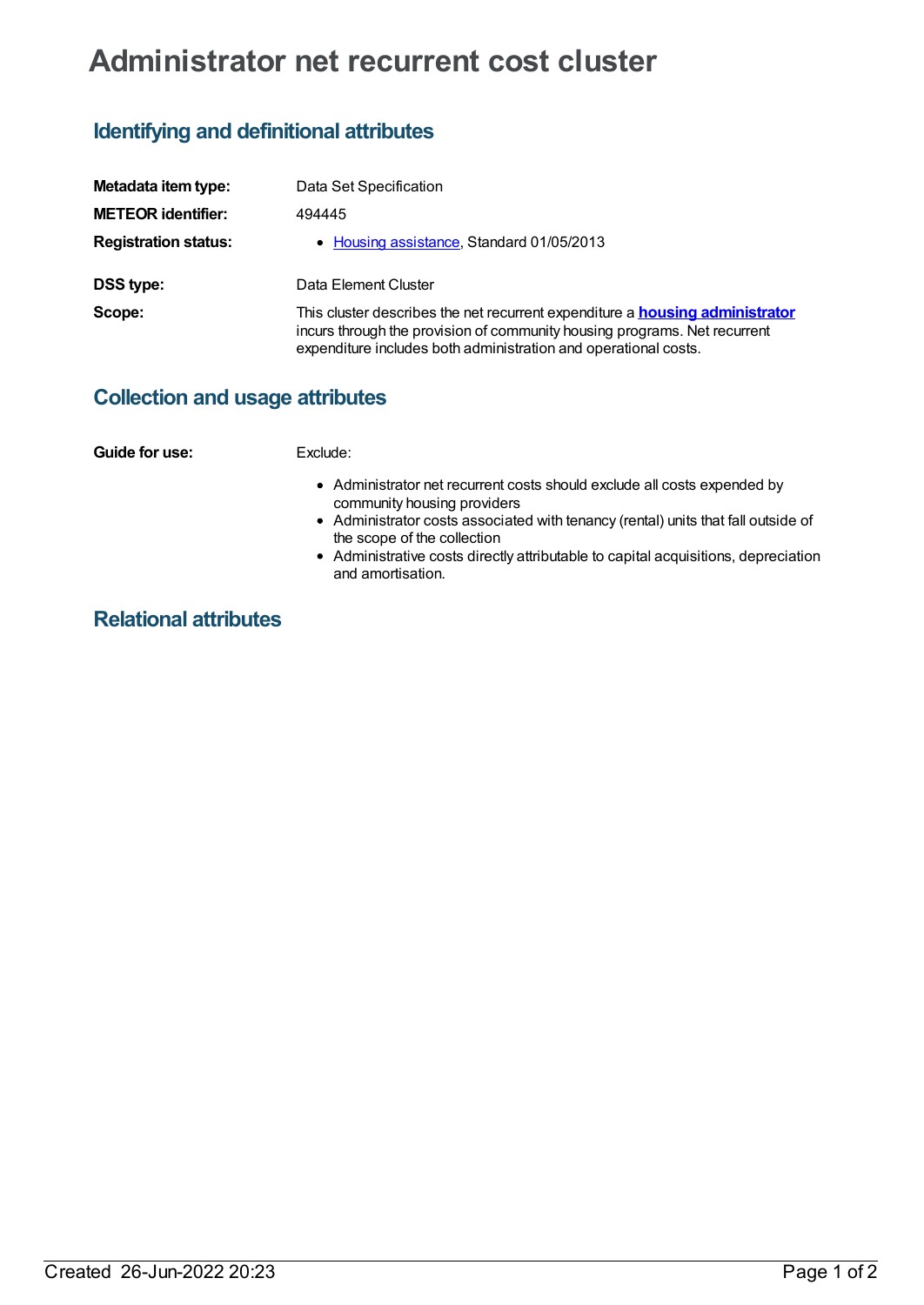# **Administrator net recurrent cost cluster**

## **Identifying and definitional attributes**

| Metadata item type:         | Data Set Specification                                                                                                                                                                                                              |
|-----------------------------|-------------------------------------------------------------------------------------------------------------------------------------------------------------------------------------------------------------------------------------|
| <b>METEOR identifier:</b>   | 494445                                                                                                                                                                                                                              |
| <b>Registration status:</b> | • Housing assistance, Standard 01/05/2013                                                                                                                                                                                           |
| <b>DSS type:</b>            | Data Element Cluster                                                                                                                                                                                                                |
| Scope:                      | This cluster describes the net recurrent expenditure a <b>housing administrator</b><br>incurs through the provision of community housing programs. Net recurrent<br>expenditure includes both administration and operational costs. |

### **Collection and usage attributes**

| <b>Guide for use:</b> | Exclude:                                                                                                                                                                                                                                                                                                                               |  |  |
|-----------------------|----------------------------------------------------------------------------------------------------------------------------------------------------------------------------------------------------------------------------------------------------------------------------------------------------------------------------------------|--|--|
|                       | • Administrator net recurrent costs should exclude all costs expended by<br>community housing providers<br>• Administrator costs associated with tenancy (rental) units that fall outside of<br>the scope of the collection<br>• Administrative costs directly attributable to capital acquisitions, depreciation<br>and amortisation. |  |  |
|                       |                                                                                                                                                                                                                                                                                                                                        |  |  |

### **Relational attributes**